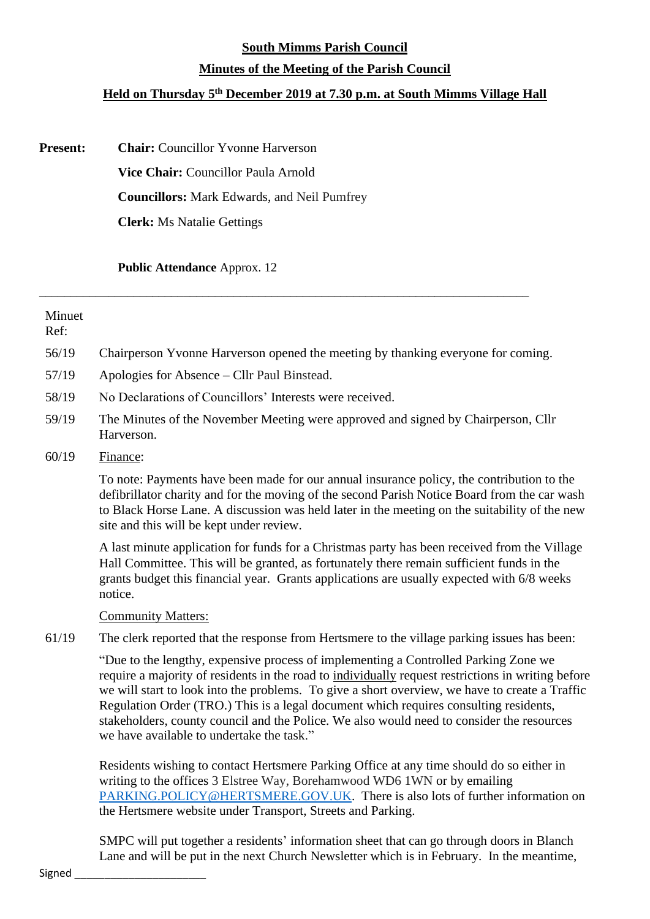### **South Mimms Parish Council**

## **Minutes of the Meeting of the Parish Council**

# **Held on Thursday 5 th December 2019 at 7.30 p.m. at South Mimms Village Hall**

\_\_\_\_\_\_\_\_\_\_\_\_\_\_\_\_\_\_\_\_\_\_\_\_\_\_\_\_\_\_\_\_\_\_\_\_\_\_\_\_\_\_\_\_\_\_\_\_\_\_\_\_\_\_\_\_\_\_\_\_\_\_\_\_\_\_\_\_\_\_\_\_\_\_\_\_\_\_

| <b>Present:</b> | <b>Chair:</b> Councillor Yvonne Harverson          |
|-----------------|----------------------------------------------------|
|                 | <b>Vice Chair:</b> Councillor Paula Arnold         |
|                 | <b>Councillors:</b> Mark Edwards, and Neil Pumfrey |
|                 | <b>Clerk:</b> Ms Natalie Gettings                  |

**Public Attendance** Approx. 12

| Minuet<br>Ref: |                                                                                                                                                                                                                                                                                                                                                                                                                                                                                                                                |
|----------------|--------------------------------------------------------------------------------------------------------------------------------------------------------------------------------------------------------------------------------------------------------------------------------------------------------------------------------------------------------------------------------------------------------------------------------------------------------------------------------------------------------------------------------|
| 56/19          | Chairperson Yvonne Harverson opened the meeting by thanking everyone for coming.                                                                                                                                                                                                                                                                                                                                                                                                                                               |
| 57/19          | Apologies for Absence – Cllr Paul Binstead.                                                                                                                                                                                                                                                                                                                                                                                                                                                                                    |
| 58/19          | No Declarations of Councillors' Interests were received.                                                                                                                                                                                                                                                                                                                                                                                                                                                                       |
| 59/19          | The Minutes of the November Meeting were approved and signed by Chairperson, Cllr<br>Harverson.                                                                                                                                                                                                                                                                                                                                                                                                                                |
| 60/19          | Finance:                                                                                                                                                                                                                                                                                                                                                                                                                                                                                                                       |
|                | To note: Payments have been made for our annual insurance policy, the contribution to the<br>defibrillator charity and for the moving of the second Parish Notice Board from the car wash<br>to Black Horse Lane. A discussion was held later in the meeting on the suitability of the new<br>site and this will be kept under review.                                                                                                                                                                                         |
|                | A last minute application for funds for a Christmas party has been received from the Village<br>Hall Committee. This will be granted, as fortunately there remain sufficient funds in the<br>grants budget this financial year. Grants applications are usually expected with 6/8 weeks<br>notice.                                                                                                                                                                                                                             |
|                | <b>Community Matters:</b>                                                                                                                                                                                                                                                                                                                                                                                                                                                                                                      |
| 61/19          | The clerk reported that the response from Hertsmere to the village parking issues has been:                                                                                                                                                                                                                                                                                                                                                                                                                                    |
|                | "Due to the lengthy, expensive process of implementing a Controlled Parking Zone we<br>require a majority of residents in the road to individually request restrictions in writing before<br>we will start to look into the problems. To give a short overview, we have to create a Traffic<br>Regulation Order (TRO.) This is a legal document which requires consulting residents,<br>stakeholders, county council and the Police. We also would need to consider the resources<br>we have available to undertake the task." |
|                | Residents wishing to contact Hertsmere Parking Office at any time should do so either in<br>writing to the offices 3 Elstree Way, Borehamwood WD6 1WN or by emailing<br>PARKING.POLICY@HERTSMERE.GOV.UK. There is also lots of further information on<br>the Hertsmere website under Transport, Streets and Parking.                                                                                                                                                                                                           |

SMPC will put together a residents' information sheet that can go through doors in Blanch Lane and will be put in the next Church Newsletter which is in February. In the meantime,